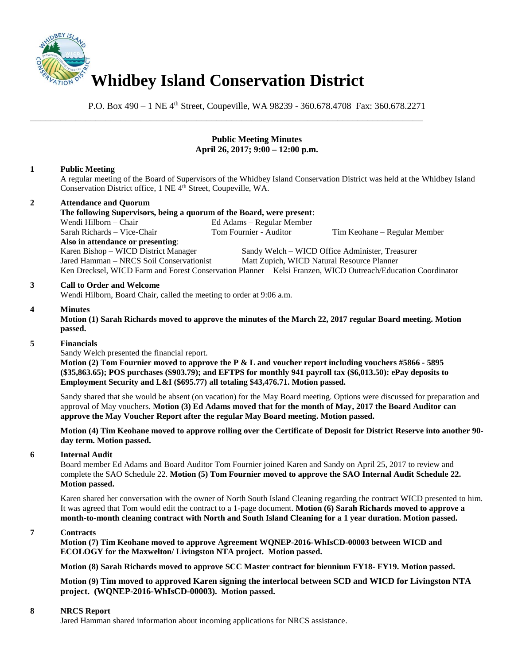

P.O. Box 490 – 1 NE 4<sup>th</sup> Street, Coupeville, WA 98239 - 360.678.4708 Fax: 360.678.2271

\_\_\_\_\_\_\_\_\_\_\_\_\_\_\_\_\_\_\_\_\_\_\_\_\_\_\_\_\_\_\_\_\_\_\_\_\_\_\_\_\_\_\_\_\_\_\_\_\_\_\_\_\_\_\_\_\_\_\_\_\_\_\_\_\_\_\_\_\_\_\_\_\_\_\_\_\_\_

# **Public Meeting Minutes April 26, 2017; 9:00 – 12:00 p.m.**

# **1 Public Meeting**

A regular meeting of the Board of Supervisors of the Whidbey Island Conservation District was held at the Whidbey Island Conservation District office, 1 NE 4<sup>th</sup> Street, Coupeville, WA.

# **2 Attendance and Quorum**

**The following Supervisors, being a quorum of the Board, were present**: Wendi Hilborn – Chair Ed Adams – Regular Member Sarah Richards – Vice-Chair Tom Fournier - Auditor Tim Keohane – Regular Member **Also in attendance or presenting**: Karen Bishop – WICD District Manager Sandy Welch – WICD Office Administer, Treasurer Jared Hamman – NRCS Soil Conservationist Matt Zupich, WICD Natural Resource Planner Ken Drecksel, WICD Farm and Forest Conservation Planner Kelsi Franzen, WICD Outreach/Education Coordinator

## **3 Call to Order and Welcome**

Wendi Hilborn, Board Chair, called the meeting to order at 9:06 a.m.

## **4 Minutes**

**Motion (1) Sarah Richards moved to approve the minutes of the March 22, 2017 regular Board meeting. Motion passed.** 

### **5 Financials**

Sandy Welch presented the financial report.

**Motion (2) Tom Fournier moved to approve the P & L and voucher report including vouchers #5866 - 5895 (\$35,863.65); POS purchases (\$903.79); and EFTPS for monthly 941 payroll tax (\$6,013.50): ePay deposits to Employment Security and L&I (\$695.77) all totaling \$43,476.71. Motion passed.** 

Sandy shared that she would be absent (on vacation) for the May Board meeting. Options were discussed for preparation and approval of May vouchers. **Motion (3) Ed Adams moved that for the month of May, 2017 the Board Auditor can approve the May Voucher Report after the regular May Board meeting. Motion passed.** 

**Motion (4) Tim Keohane moved to approve rolling over the Certificate of Deposit for District Reserve into another 90 day term. Motion passed.** 

### **6 Internal Audit**

Board member Ed Adams and Board Auditor Tom Fournier joined Karen and Sandy on April 25, 2017 to review and complete the SAO Schedule 22. **Motion (5) Tom Fournier moved to approve the SAO Internal Audit Schedule 22. Motion passed.**

Karen shared her conversation with the owner of North South Island Cleaning regarding the contract WICD presented to him. It was agreed that Tom would edit the contract to a 1-page document. **Motion (6) Sarah Richards moved to approve a month-to-month cleaning contract with North and South Island Cleaning for a 1 year duration. Motion passed.**

### **7 Contracts**

**Motion (7) Tim Keohane moved to approve Agreement WQNEP-2016-WhIsCD-00003 between WICD and ECOLOGY for the Maxwelton/ Livingston NTA project. Motion passed.** 

**Motion (8) Sarah Richards moved to approve SCC Master contract for biennium FY18- FY19. Motion passed.**

**Motion (9) Tim moved to approved Karen signing the interlocal between SCD and WICD for Livingston NTA project. (WQNEP-2016-WhIsCD-00003). Motion passed.** 

## **8 NRCS Report**

Jared Hamman shared information about incoming applications for NRCS assistance.